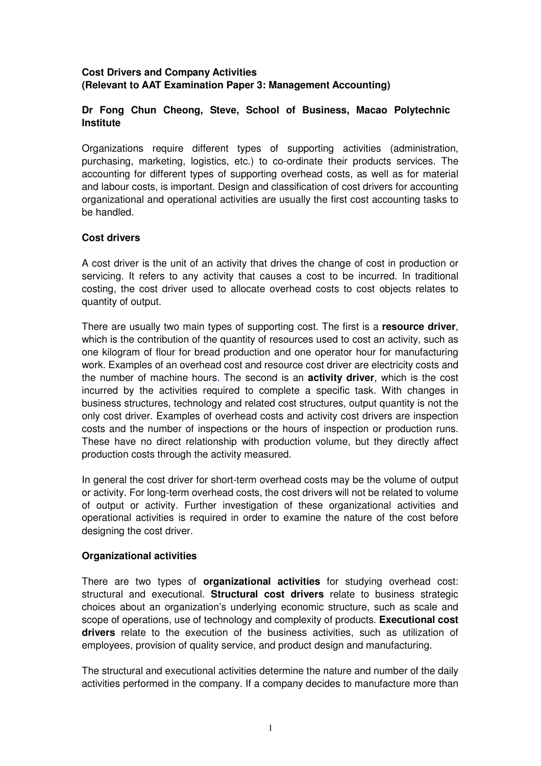## **Cost Drivers and Company Activities (Relevant to AAT Examination Paper 3: Management Accounting)**

## **Dr Fong Chun Cheong, Steve, School of Business, Macao Polytechnic Institute**

Organizations require different types of supporting activities (administration, purchasing, marketing, logistics, etc.) to co-ordinate their products services. The accounting for different types of supporting overhead costs, as well as for material and labour costs, is important. Design and classification of cost drivers for accounting organizational and operational activities are usually the first cost accounting tasks to be handled.

## **Cost drivers**

A cost driver is the unit of an activity that drives the change of cost in production or servicing. It refers to any activity that causes a cost to be incurred. In traditional costing, the cost driver used to allocate overhead costs to cost objects relates to quantity of output.

There are usually two main types of supporting cost. The first is a **resource driver**, which is the contribution of the quantity of resources used to cost an activity, such as one kilogram of flour for bread production and one operator hour for manufacturing work. Examples of an overhead cost and resource cost driver are electricity costs and the number of machine hours. The second is an **activity driver**, which is the cost incurred by the activities required to complete a specific task. With changes in business structures, technology and related cost structures, output quantity is not the only cost driver. Examples of overhead costs and activity cost drivers are inspection costs and the number of inspections or the hours of inspection or production runs. These have no direct relationship with production volume, but they directly affect production costs through the activity measured.

In general the cost driver for short-term overhead costs may be the volume of output or activity. For long-term overhead costs, the cost drivers will not be related to volume of output or activity. Further investigation of these organizational activities and operational activities is required in order to examine the nature of the cost before designing the cost driver.

# **Organizational activities**

There are two types of **organizational activities** for studying overhead cost: structural and executional. **Structural cost drivers** relate to business strategic choices about an organization's underlying economic structure, such as scale and scope of operations, use of technology and complexity of products. **Executional cost drivers** relate to the execution of the business activities, such as utilization of employees, provision of quality service, and product design and manufacturing.

The structural and executional activities determine the nature and number of the daily activities performed in the company. If a company decides to manufacture more than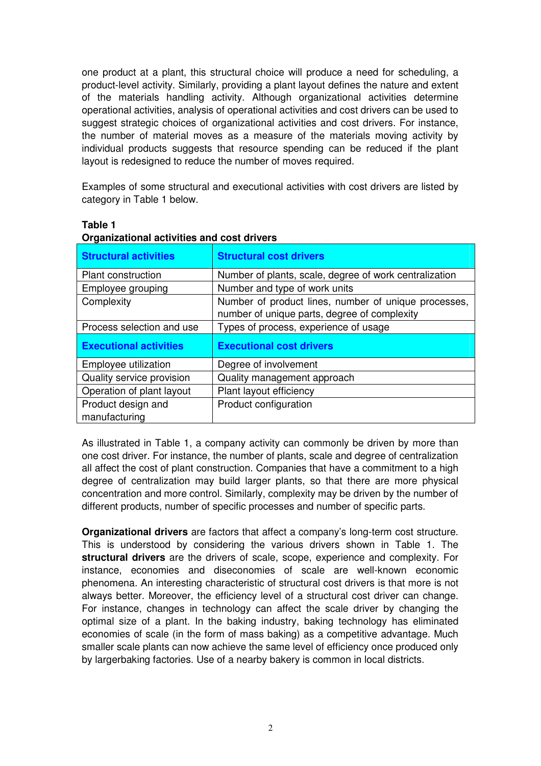one product at a plant, this structural choice will produce a need for scheduling, a product-level activity. Similarly, providing a plant layout defines the nature and extent of the materials handling activity. Although organizational activities determine operational activities, analysis of operational activities and cost drivers can be used to suggest strategic choices of organizational activities and cost drivers. For instance, the number of material moves as a measure of the materials moving activity by individual products suggests that resource spending can be reduced if the plant layout is redesigned to reduce the number of moves required.

Examples of some structural and executional activities with cost drivers are listed by category in Table 1 below.

| <b>Structural activities</b>  | <b>Structural cost drivers</b>                                                                       |  |  |  |
|-------------------------------|------------------------------------------------------------------------------------------------------|--|--|--|
| <b>Plant construction</b>     | Number of plants, scale, degree of work centralization                                               |  |  |  |
| Employee grouping             | Number and type of work units                                                                        |  |  |  |
| Complexity                    | Number of product lines, number of unique processes,<br>number of unique parts, degree of complexity |  |  |  |
| Process selection and use     | Types of process, experience of usage                                                                |  |  |  |
| <b>Executional activities</b> | <b>Executional cost drivers</b>                                                                      |  |  |  |
| Employee utilization          | Degree of involvement                                                                                |  |  |  |
| Quality service provision     | Quality management approach                                                                          |  |  |  |
| Operation of plant layout     | Plant layout efficiency                                                                              |  |  |  |
| Product design and            | Product configuration                                                                                |  |  |  |
| manufacturing                 |                                                                                                      |  |  |  |

### **Table 1**

| Organizational activities and cost drivers |  |  |
|--------------------------------------------|--|--|
|                                            |  |  |

As illustrated in Table 1, a company activity can commonly be driven by more than one cost driver. For instance, the number of plants, scale and degree of centralization all affect the cost of plant construction. Companies that have a commitment to a high degree of centralization may build larger plants, so that there are more physical concentration and more control. Similarly, complexity may be driven by the number of different products, number of specific processes and number of specific parts.

**Organizational drivers** are factors that affect a company's long-term cost structure. This is understood by considering the various drivers shown in Table 1. The **structural drivers** are the drivers of scale, scope, experience and complexity. For instance, economies and diseconomies of scale are well-known economic phenomena. An interesting characteristic of structural cost drivers is that more is not always better. Moreover, the efficiency level of a structural cost driver can change. For instance, changes in technology can affect the scale driver by changing the optimal size of a plant. In the baking industry, baking technology has eliminated economies of scale (in the form of mass baking) as a competitive advantage. Much smaller scale plants can now achieve the same level of efficiency once produced only by largerbaking factories. Use of a nearby bakery is common in local districts.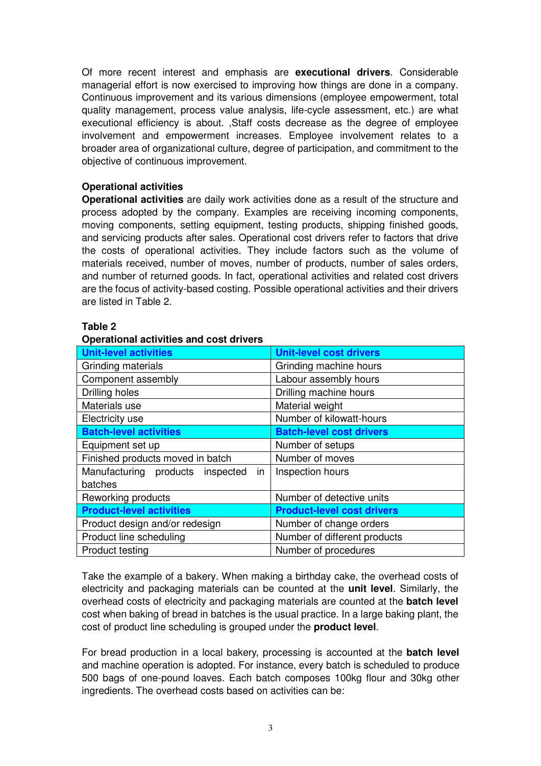Of more recent interest and emphasis are **executional drivers**. Considerable managerial effort is now exercised to improving how things are done in a company. Continuous improvement and its various dimensions (employee empowerment, total quality management, process value analysis, life-cycle assessment, etc.) are what executional efficiency is about. ,Staff costs decrease as the degree of employee involvement and empowerment increases. Employee involvement relates to a broader area of organizational culture, degree of participation, and commitment to the objective of continuous improvement.

## **Operational activities**

**Operational activities** are daily work activities done as a result of the structure and process adopted by the company. Examples are receiving incoming components, moving components, setting equipment, testing products, shipping finished goods, and servicing products after sales. Operational cost drivers refer to factors that drive the costs of operational activities. They include factors such as the volume of materials received, number of moves, number of products, number of sales orders, and number of returned goods. In fact, operational activities and related cost drivers are the focus of activity-based costing. Possible operational activities and their drivers are listed in Table 2.

### **Table 2**

### **Operational activities and cost drivers**

| <b>Unit-level activities</b>           | <b>Unit-level cost drivers</b>    |  |  |
|----------------------------------------|-----------------------------------|--|--|
| Grinding materials                     | Grinding machine hours            |  |  |
| Component assembly                     | Labour assembly hours             |  |  |
| Drilling holes                         | Drilling machine hours            |  |  |
| Materials use                          | Material weight                   |  |  |
| Electricity use                        | Number of kilowatt-hours          |  |  |
| <b>Batch-level activities</b>          | <b>Batch-level cost drivers</b>   |  |  |
| Equipment set up                       | Number of setups                  |  |  |
| Finished products moved in batch       | Number of moves                   |  |  |
| Manufacturing products inspected<br>in | Inspection hours                  |  |  |
| batches                                |                                   |  |  |
| Reworking products                     | Number of detective units         |  |  |
| <b>Product-level activities</b>        | <b>Product-level cost drivers</b> |  |  |
| Product design and/or redesign         | Number of change orders           |  |  |
| Product line scheduling                | Number of different products      |  |  |
| <b>Product testing</b>                 | Number of procedures              |  |  |

Take the example of a bakery. When making a birthday cake, the overhead costs of electricity and packaging materials can be counted at the **unit level**. Similarly, the overhead costs of electricity and packaging materials are counted at the **batch level**  cost when baking of bread in batches is the usual practice. In a large baking plant, the cost of product line scheduling is grouped under the **product level**.

For bread production in a local bakery, processing is accounted at the **batch level** and machine operation is adopted. For instance, every batch is scheduled to produce 500 bags of one-pound loaves. Each batch composes 100kg flour and 30kg other ingredients. The overhead costs based on activities can be: